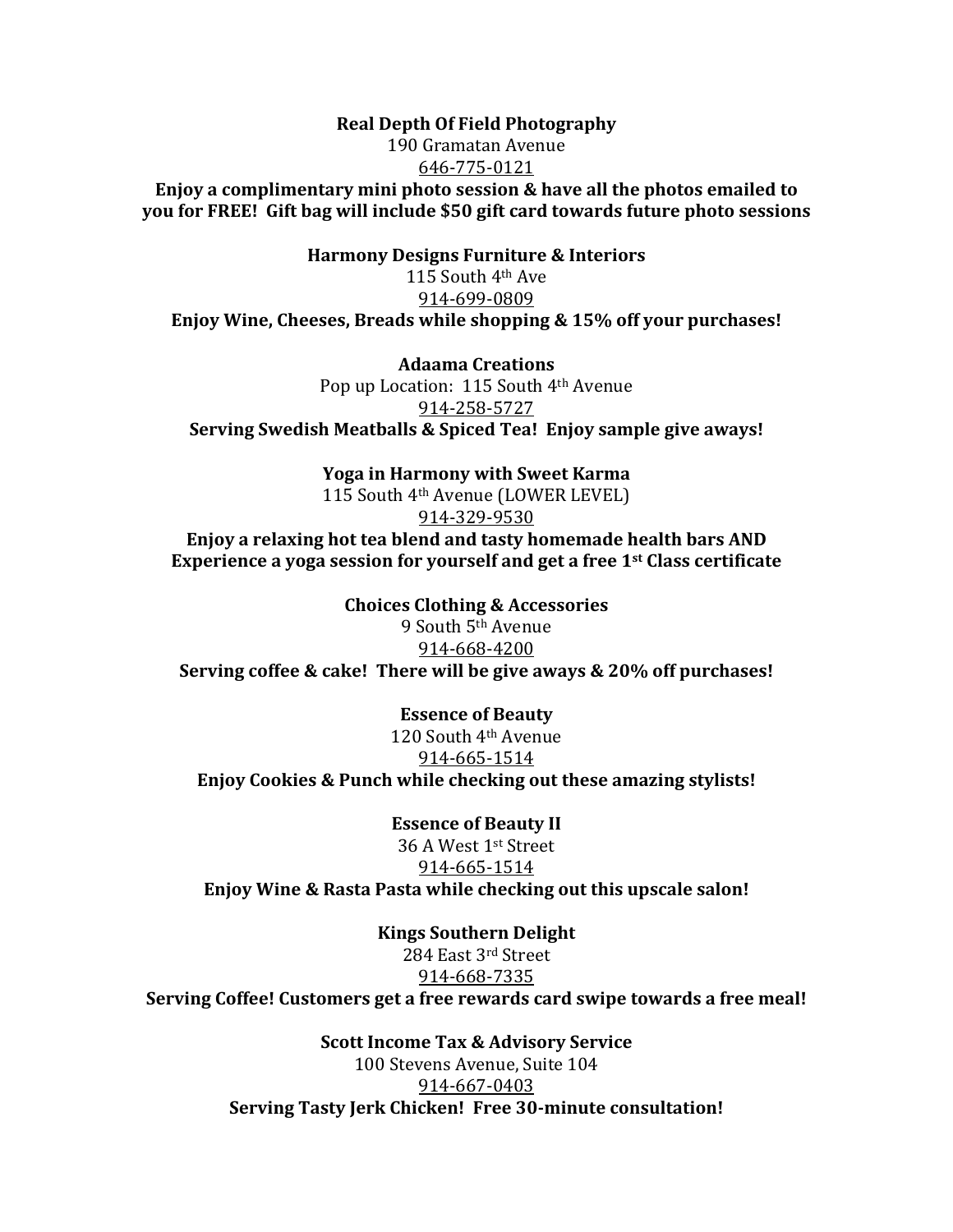## **Real Depth Of Field Photography** 190 Gramatan Avenue 646-775-0121

**Enjoy a complimentary mini photo session & have all the photos emailed to you for FREE!** Gift bag will include \$50 gift card towards future photo sessions

**Harmony Designs Furniture & Interiors** 115 South  $4<sup>th</sup>$  Ave 914-699-0809 **Enjoy Wine, Cheeses, Breads while shopping & 15% off your purchases!** 

**Adaama Creations** Pop up Location:  $115$  South  $4<sup>th</sup>$  Avenue 914-258-5727 **Serving Swedish Meatballs & Spiced Tea! Enjoy sample give aways!** 

> **Yoga in Harmony with Sweet Karma** 115 South 4<sup>th</sup> Avenue (LOWER LEVEL) 914-329-9530

**Enjoy a relaxing hot tea blend and tasty homemade health bars AND Experience a yoga session for yourself and get a free 1st Class certificate** 

**Choices Clothing & Accessories** 9 South 5<sup>th</sup> Avenue 914-668-4200 **Serving coffee & cake! There will be give aways & 20% off purchases!** 

**Essence of Beauty** 120 South 4<sup>th</sup> Avenue 914-665-1514 **Enjoy Cookies & Punch while checking out these amazing stylists!** 

**Essence of Beauty II** 36 A West 1<sup>st</sup> Street 914-665-1514 **Enjoy Wine & Rasta Pasta while checking out this upscale salon!** 

**Kings Southern Delight** 284 East 3rd Street 914-668-7335 **Serving Coffee! Customers get a free rewards card swipe towards a free meal!** 

> **Scott Income Tax & Advisory Service** 100 Stevens Avenue, Suite 104 914-667-0403 Serving Tasty Jerk Chicken! Free 30-minute consultation!